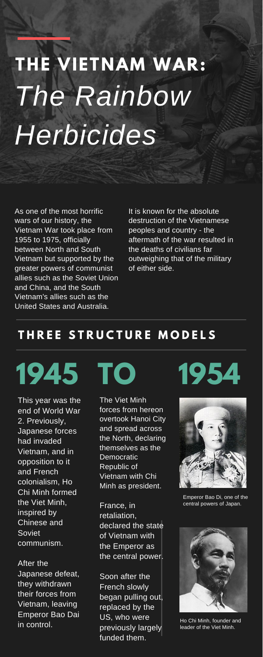# **THE VIETNAM WAR:** *The Rainbow Herbicides*

## **T H R E E S T R U C T U R E M O D E L S**

This year was the end of World War 2. Previously, Japanese forces had invaded Vietnam, and in opposition to it and French colonialism, Ho Chi Minh formed the Viet Minh, inspired by Chinese and Soviet communism.

**1945 TO**

After the Japanese defeat, they withdrawn their forces from Vietnam, leaving Emperor Bao Dai in control.

The Viet Minh forces from hereon overtook Hanoi City and spread across the North, declaring themselves as the Democratic Republic of Vietnam with Chi Minh as president.

France, in retaliation, declared the state of Vietnam with the Emperor as the central power.

Soon after the French slowly began pulling out, replaced by the US, who were previously largely funded them.



As one of the most horrific wars of our history, the Vietnam War took place from 1955 to 1975, officially between North and South Vietnam but supported by the greater powers of communist allies such as the Soviet Union and China, and the South Vietnam's allies such as the United States and Australia.

**1954**

It is known for the absolute destruction of the Vietnamese peoples and country - the aftermath of the war resulted in the deaths of civilians far outweighing that of the military of either side.

Emperor Bao Di, one of the central powers of Japan.



Ho Chi Minh, founder and leader of the Viet Minh.